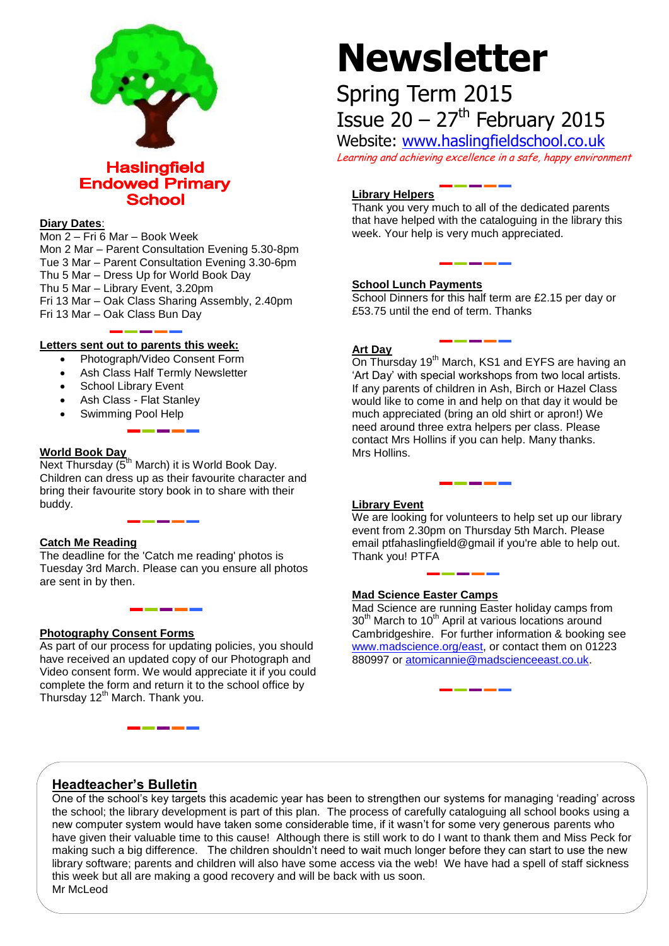

**Haslingfield Endowed Primary School** 

#### **Diary Dates**:

Mon 2 – Fri 6 Mar – Book Week Mon 2 Mar – Parent Consultation Evening 5.30-8pm Tue 3 Mar – Parent Consultation Evening 3.30-6pm Thu 5 Mar – Dress Up for World Book Day Thu 5 Mar – Library Event, 3.20pm Fri 13 Mar – Oak Class Sharing Assembly, 2.40pm Fri 13 Mar – Oak Class Bun Day

#### **Letters sent out to parents this week:**

- Photograph/Video Consent Form
- Ash Class Half Termly Newsletter
- School Library Event
- Ash Class Flat Stanley
- Swimming Pool Help

#### **World Book Day**

**Next Thursday (5<sup>th</sup> March) it is World Book Day.** Children can dress up as their favourite character and bring their favourite story book in to share with their buddy.

#### **Catch Me Reading**

The deadline for the 'Catch me reading' photos is Tuesday 3rd March. Please can you ensure all photos are sent in by then.

#### **Photography Consent Forms**

As part of our process for updating policies, you should have received an updated copy of our Photograph and Video consent form. We would appreciate it if you could complete the form and return it to the school office by Thursday 12<sup>th</sup> March. Thank you.

# **Newsletter**

# Spring Term 2015 Issue  $20 - 27$ <sup>th</sup> February 2015

Website: [www.haslingfieldschool.co.uk](http://www.haslingfieldschool.co.uk/) Learning and achieving excellence in a safe, happy environment

#### **Library Helpers**

Thank you very much to all of the dedicated parents that have helped with the cataloguing in the library this week. Your help is very much appreciated.

#### **School Lunch Payments**

School Dinners for this half term are £2.15 per day or £53.75 until the end of term. Thanks

#### **Art Day**

On Thursday 19<sup>th</sup> March, KS1 and EYFS are having an 'Art Day' with special workshops from two local artists. If any parents of children in Ash, Birch or Hazel Class would like to come in and help on that day it would be much appreciated (bring an old shirt or apron!) We need around three extra helpers per class. Please contact Mrs Hollins if you can help. Many thanks. Mrs Hollins.

#### **Library Event**

We are looking for volunteers to help set up our library event from 2.30pm on Thursday 5th March. Please email ptfahaslingfield@gmail if you're able to help out. Thank you! PTFA

#### **Mad Science Easter Camps**

Mad Science are running Easter holiday camps from 30<sup>th</sup> March to 10<sup>th</sup> April at various locations around Cambridgeshire. For further information & booking see [www.madscience.org/east,](http://www.madscience.org/east) or contact them on 01223 880997 or [atomicannie@madscienceeast.co.uk.](mailto:atomicannie@madscienceeast.co.uk)

## **Headteacher's Bulletin**

One of the school's key targets this academic year has been to strengthen our systems for managing 'reading' across the school; the library development is part of this plan. The process of carefully cataloguing all school books using a new computer system would have taken some considerable time, if it wasn't for some very generous parents who have given their valuable time to this cause! Although there is still work to do I want to thank them and Miss Peck for making such a big difference. The children shouldn't need to wait much longer before they can start to use the new library software; parents and children will also have some access via the web! We have had a spell of staff sickness this week but all are making a good recovery and will be back with us soon. Mr McLeod